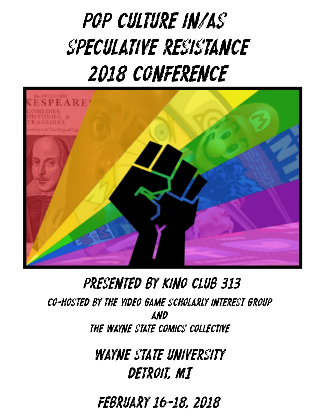# **POP CULTURE IN/AS SPECULATIVE RESISTANCE 2018 CONFERENCE**



## PRESENTED BY KINO CLUB 313

**CO-HOSTED BY THE VIDEO GAME SCHOLARLY INTEREST GROUP AND** THE WAYNE STATE COMICS COLLECTIVE

> **WAYNE STATE UNIVERSITY** DETROIT, MI

**FEBRUARY 16-18, 2018**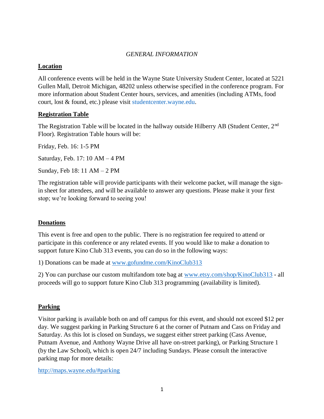#### *GENERAL INFORMATION*

#### **Location**

All conference events will be held in the Wayne State University Student Center, located at 5221 Gullen Mall, Detroit Michigan, 48202 unless otherwise specified in the conference program. For more information about Student Center hours, services, and amenities (including ATMs, food court, lost & found, etc.) please visit [studentcenter.wayne.edu.](http://www.studentcenter.wayne.edu/)

#### **Registration Table**

The Registration Table will be located in the hallway outside Hilberry AB (Student Center, 2<sup>nd</sup>) Floor). Registration Table hours will be:

Friday, Feb. 16: 1-5 PM

Saturday, Feb. 17: 10 AM – 4 PM

Sunday, Feb 18: 11 AM – 2 PM

The registration table will provide participants with their welcome packet, will manage the signin sheet for attendees, and will be available to answer any questions. Please make it your first stop; we're looking forward to seeing you!

#### **Donations**

This event is free and open to the public. There is no registration fee required to attend or participate in this conference or any related events. If you would like to make a donation to support future Kino Club 313 events, you can do so in the following ways:

1) Donations can be made at [www.gofundme.com/KinoClub313](http://www.gofundme.com/KinoClub313)

2) You can purchase our custom multifandom tote bag at [www.etsy.com/shop/KinoClub313](http://www.etsy.com/shop/KinoClub313) - all proceeds will go to support future Kino Club 313 programming (availability is limited).

#### **Parking**

Visitor parking is available both on and off campus for this event, and should not exceed \$12 per day. We suggest parking in Parking Structure 6 at the corner of Putnam and Cass on Friday and Saturday. As this lot is closed on Sundays, we suggest either street parking (Cass Avenue, Putnam Avenue, and Anthony Wayne Drive all have on-street parking), or Parking Structure 1 (by the Law School), which is open 24/7 including Sundays. Please consult the interactive parking map for more details:

<http://maps.wayne.edu/#parking>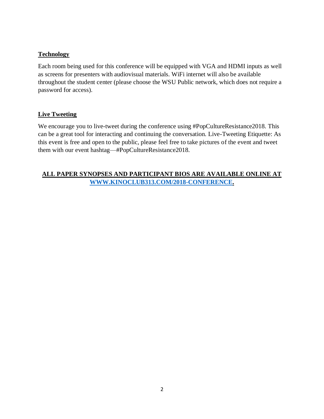#### **Technology**

Each room being used for this conference will be equipped with VGA and HDMI inputs as well as screens for presenters with audiovisual materials. WiFi internet will also be available throughout the student center (please choose the WSU Public network, which does not require a password for access).

#### **Live Tweeting**

We encourage you to live-tweet during the conference using #PopCultureResistance2018. This can be a great tool for interacting and continuing the conversation. Live-Tweeting Etiquette: As this event is free and open to the public, please feel free to take pictures of the event and tweet them with our event hashtag—#PopCultureResistance2018.

#### **ALL PAPER SYNOPSES AND PARTICIPANT BIOS ARE AVAILABLE ONLINE AT [WWW.KINOCLUB313.COM/2018-CONFERENCE.](http://www.kinoclub313.com/2018-CONFERENCE)**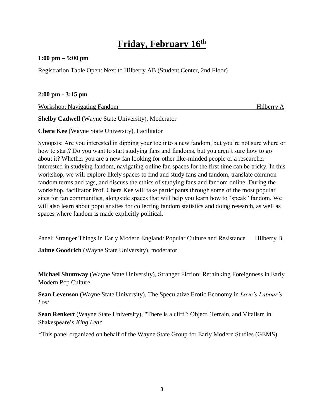## **Friday, February 16th**

#### **1:00 pm – 5:00 pm**

Registration Table Open: Next to Hilberry AB (Student Center, 2nd Floor)

#### **2:00 pm - 3:15 pm**

Workshop: Navigating Fandom **Hilberry A** Hilberry A

**Shelby Cadwell** (Wayne State University), Moderator

**Chera Kee** (Wayne State University), Facilitator

Synopsis: Are you interested in dipping your toe into a new fandom, but you're not sure where or how to start? Do you want to start studying fans and fandoms, but you aren't sure how to go about it? Whether you are a new fan looking for other like-minded people or a researcher interested in studying fandom, navigating online fan spaces for the first time can be tricky. In this workshop, we will explore likely spaces to find and study fans and fandom, translate common fandom terms and tags, and discuss the ethics of studying fans and fandom online. During the workshop, facilitator Prof. Chera Kee will take participants through some of the most popular sites for fan communities, alongside spaces that will help you learn how to "speak" fandom. We will also learn about popular sites for collecting fandom statistics and doing research, as well as spaces where fandom is made explicitly political.

Panel: Stranger Things in Early Modern England: Popular Culture and Resistance Hilberry B **Jaime Goodrich** (Wayne State University), moderator

**Michael Shumway** (Wayne State University), Stranger Fiction: Rethinking Foreignness in Early Modern Pop Culture

**Sean Levenson** (Wayne State University), The Speculative Erotic Economy in *Love's Labour's Lost*

**Sean Renkert** (Wayne State University), "There is a cliff": Object, Terrain, and Vitalism in Shakespeare's *King Lear*

*\**This panel organized on behalf of the Wayne State Group for Early Modern Studies (GEMS)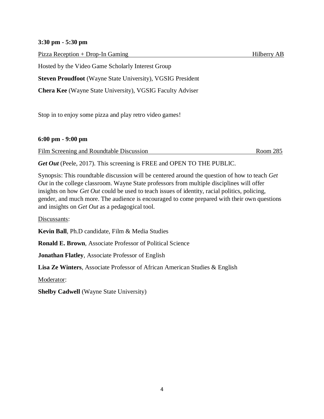#### **3:30 pm - 5:30 pm**

| Pizza Reception + Drop-In Gaming                                  | Hilberry AB |
|-------------------------------------------------------------------|-------------|
| Hosted by the Video Game Scholarly Interest Group                 |             |
| <b>Steven Proudfoot</b> (Wayne State University), VGSIG President |             |
| <b>Chera Kee</b> (Wayne State University), VGSIG Faculty Adviser  |             |
|                                                                   |             |

Stop in to enjoy some pizza and play retro video games!

#### **6:00 pm - 9:00 pm**

Film Screening and Roundtable Discussion Room 285

*Get Out* (Peele, 2017). This screening is FREE and OPEN TO THE PUBLIC.

Synopsis: This roundtable discussion will be centered around the question of how to teach *Get Out* in the college classroom. Wayne State professors from multiple disciplines will offer insights on how *Get Out* could be used to teach issues of identity, racial politics, policing, gender, and much more. The audience is encouraged to come prepared with their own questions and insights on *Get Out* as a pedagogical tool.

Discussants:

**Kevin Ball**, Ph.D candidate, Film & Media Studies

**Ronald E. Brown**, Associate Professor of Political Science

**Jonathan Flatley**, Associate Professor of English

**Lisa Ze Winters**, Associate Professor of African American Studies & English

Moderator:

**Shelby Cadwell** (Wayne State University)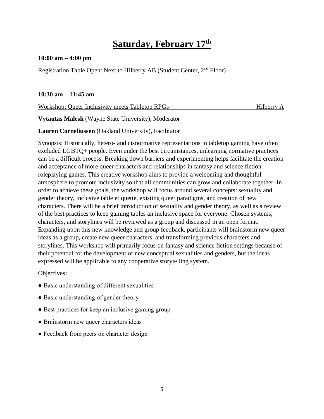## **Saturday, February 17th**

#### **10:00 am – 4:00 pm**

Registration Table Open: Next to Hilberry AB (Student Center,  $2<sup>nd</sup>$  Floor)

#### **10:30 am – 11:45 am**

Workshop: Queer Inclusivity meets Tabletop RPGs Hilberry A

**Vytautas Malesh** (Wayne State University), Moderator

**Lauren Corneliussen** (Oakland University), Facilitator

Synopsis: Historically, hetero- and cisnormative representations in tabletop gaming have often excluded LGBTQ+ people. Even under the best circumstances, unlearning normative practices can be a difficult process. Breaking down barriers and experimenting helps facilitate the creation and acceptance of more queer characters and relationships in fantasy and science fiction roleplaying games. This creative workshop aims to provide a welcoming and thoughtful atmosphere to promote inclusivity so that all communities can grow and collaborate together. In order to achieve these goals, the workshop will focus around several concepts: sexuality and gender theory, inclusive table etiquette, existing queer paradigms, and creation of new characters. There will be a brief introduction of sexuality and gender theory, as well as a review of the best practices to keep gaming tables an inclusive space for everyone. Chosen systems, characters, and storylines will be reviewed as a group and discussed in an open format. Expanding upon this new knowledge and group feedback, participants will brainstorm new queer ideas as a group, create new queer characters, and transforming previous characters and storylines. This workshop will primarily focus on fantasy and science fiction settings because of their potential for the development of new conceptual sexualities and genders, but the ideas expressed will be applicable to any cooperative storytelling system.

Objectives:

- Basic understanding of different sexualities
- Basic understanding of gender theory
- Best practices for keep an inclusive gaming group
- Brainstorm new queer characters ideas
- Feedback from peers on character design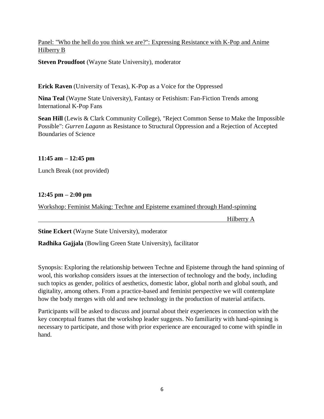#### Panel: "Who the hell do you think we are?": Expressing Resistance with K-Pop and Anime Hilberry B

**Steven Proudfoot** (Wayne State University), moderator

**Erick Raven** (University of Texas), K-Pop as a Voice for the Oppressed

**Nina Teal** (Wayne State University), Fantasy or Fetishism: Fan-Fiction Trends among International K-Pop Fans

**Sean Hill** (Lewis & Clark Community College), "Reject Common Sense to Make the Impossible Possible": *Gurren Lagann* as Resistance to Structural Oppression and a Rejection of Accepted Boundaries of Science

#### **11:45 am – 12:45 pm**

Lunch Break (not provided)

#### **12:45 pm – 2:00 pm**

Workshop: Feminist Making: Techne and Episteme examined through Hand-spinning

Hilberry A

**Stine Eckert** (Wayne State University), moderator

**Radhika Gajjala** (Bowling Green State University), facilitator

Synopsis: Exploring the relationship between Techne and Episteme through the hand spinning of wool, this workshop considers issues at the intersection of technology and the body, including such topics as gender, politics of aesthetics, domestic labor, global north and global south, and digitality, among others. From a practice-based and feminist perspective we will contemplate how the body merges with old and new technology in the production of material artifacts.

Participants will be asked to discuss and journal about their experiences in connection with the key conceptual frames that the workshop leader suggests. No familiarity with hand-spinning is necessary to participate, and those with prior experience are encouraged to come with spindle in hand.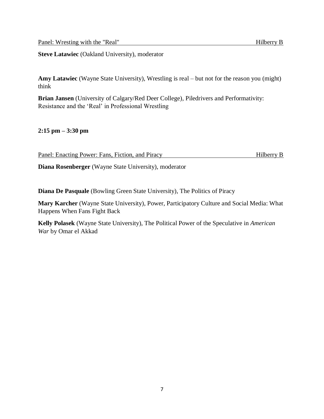**Steve Latawiec** (Oakland University), moderator

**Amy Latawiec** (Wayne State University), Wrestling is real – but not for the reason you (might) think

**Brian Jansen** (University of Calgary/Red Deer College), Piledrivers and Performativity: Resistance and the 'Real' in Professional Wrestling

**2:15 pm – 3:30 pm**

| Panel: Enacting Power: Fans, Fiction, and Piracy | Hilberry B |
|--------------------------------------------------|------------|
|                                                  |            |

**Diana Rosenberger** (Wayne State University), moderator

**Diana De Pasquale** (Bowling Green State University), The Politics of Piracy

**Mary Karcher** (Wayne State University), Power, Participatory Culture and Social Media: What Happens When Fans Fight Back

**Kelly Polasek** (Wayne State University), The Political Power of the Speculative in *American War* by Omar el Akkad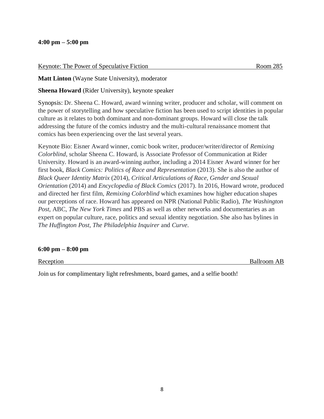#### **4:00 pm – 5:00 pm**

| Keynote: The Power of Speculative Fiction | Room 285 |
|-------------------------------------------|----------|
|                                           |          |

**Matt Linton** (Wayne State University), moderator

**Sheena Howard** (Rider University), keynote speaker

Synopsis: Dr. Sheena C. Howard, award winning writer, producer and scholar, will comment on the power of storytelling and how speculative fiction has been used to script identities in popular culture as it relates to both dominant and non-dominant groups. Howard will close the talk addressing the future of the comics industry and the multi-cultural renaissance moment that comics has been experiencing over the last several years.

Keynote Bio: Eisner Award winner, comic book writer, producer/writer/director of *Remixing Colorblind*, scholar Sheena C. Howard, is Associate Professor of Communication at Rider University. Howard is an award-winning author, including a 2014 Eisner Award winner for her first book, *Black Comics: Politics of Race and Representation* (2013). She is also the author of *Black Queer Identity Matrix* (2014), *Critical Articulations of Race, Gender and Sexual Orientation* (2014) and *Encyclopedia of Black Comics* (2017). In 2016, Howard wrote, produced and directed her first film, *Remixing Colorblind* which examines how higher education shapes our perceptions of race. Howard has appeared on NPR (National Public Radio), *The Washington Post*, ABC, *The New York Times* and PBS as well as other networks and documentaries as an expert on popular culture, race, politics and sexual identity negotiation. She also has bylines in *The Huffington Post*, *The Philadelphia Inquirer* and *Curve*.

#### **6:00 pm – 8:00 pm**

Reception Ballroom AB

Join us for complimentary light refreshments, board games, and a selfie booth!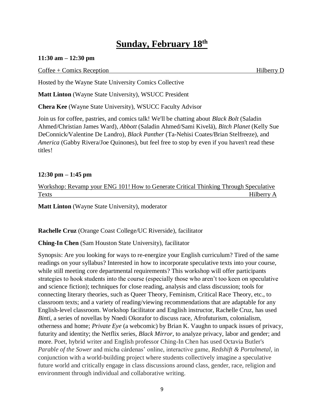### **Sunday, February 18th**

#### **11:30 am – 12:30 pm**

#### Coffee + Comics Reception **Hilberry D** Hilberry D

Hosted by the Wayne State University Comics Collective

**Matt Linton** (Wayne State University), WSUCC President

**Chera Kee** (Wayne State University), WSUCC Faculty Advisor

Join us for coffee, pastries, and comics talk! We'll be chatting about *Black Bolt* (Saladin Ahmed/Christian James Ward)*, Abbott* (Saladin Ahmed/Sami Kivelä), *Bitch Planet* (Kelly Sue DeConnick/Valentine De Landro)*, Black Panther* (Ta-Nehisi Coates/Brian Stelfreeze), and *America* (Gabby Rivera/Joe Quinones), but feel free to stop by even if you haven't read these titles!

#### **12:30 pm – 1:45 pm**

| Workshop: Revamp your ENG 101! How to Generate Critical Thinking Through Speculative |  |  |            |
|--------------------------------------------------------------------------------------|--|--|------------|
| <b>Texts</b>                                                                         |  |  | Hilberry A |

**Matt Linton** (Wayne State University), moderator

**Rachelle Cruz** (Orange Coast College/UC Riverside), facilitator

**Ching-In Chen** (Sam Houston State University), facilitator

Synopsis: Are you looking for ways to re-energize your English curriculum? Tired of the same readings on your syllabus? Interested in how to incorporate speculative texts into your course, while still meeting core departmental requirements? This workshop will offer participants strategies to hook students into the course (especially those who aren't too keen on speculative and science fiction); techniques for close reading, analysis and class discussion; tools for connecting literary theories, such as Queer Theory, Feminism, Critical Race Theory, etc., to classroom texts; and a variety of reading/viewing recommendations that are adaptable for any English-level classroom. Workshop facilitator and English instructor, Rachelle Cruz, has used *Binti*, a series of novellas by Nnedi Okorafor to discuss race, Afrofuturism, colonialism, otherness and home; *Private Eye* (a webcomic) by Brian K. Vaughn to unpack issues of privacy, futurity and identity; the Netflix series, *Black Mirror*, to analyze privacy, labor and gender; and more. Poet, hybrid writer and English professor Ching-In Chen has used Octavia Butler's *Parable of the Sower* and micha cárdenas' online, interactive game, *Redshift & Portalmetal,* in conjunction with a world-building project where students collectively imagine a speculative future world and critically engage in class discussions around class, gender, race, religion and environment through individual and collaborative writing.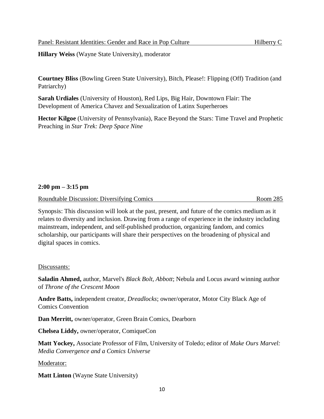**Hillary Weiss** (Wayne State University), moderator

**Courtney Bliss** (Bowling Green State University), Bitch, Please!: Flipping (Off) Tradition (and Patriarchy)

**Sarah Urdiales** (University of Houston), Red Lips, Big Hair, Downtown Flair: The Development of America Chavez and Sexualization of Latinx Superheroes

**Hector Kilgoe** (University of Pennsylvania), Race Beyond the Stars: Time Travel and Prophetic Preaching in *Star Trek: Deep Space Nine*

#### **2:00 pm – 3:15 pm**

Roundtable Discussion: Diversifying Comics and the community Room 285

Synopsis: This discussion will look at the past, present, and future of the comics medium as it relates to diversity and inclusion. Drawing from a range of experience in the industry including mainstream, independent, and self-published production, organizing fandom, and comics scholarship, our participants will share their perspectives on the broadening of physical and digital spaces in comics.

#### Discussants:

**Saladin Ahmed,** author, Marvel's *Black Bolt, Abbott*; Nebula and Locus award winning author of *Throne of the Crescent Moon*

**Andre Batts,** independent creator, *Dreadlocks*; owner/operator, Motor City Black Age of Comics Convention

**Dan Merritt,** owner/operator, Green Brain Comics, Dearborn

**Chelsea Liddy,** owner/operator, ComiqueCon

**Matt Yockey,** Associate Professor of Film, University of Toledo; editor of *Make Ours Marvel: Media Convergence and a Comics Universe*

Moderator:

**Matt Linton** (Wayne State University)